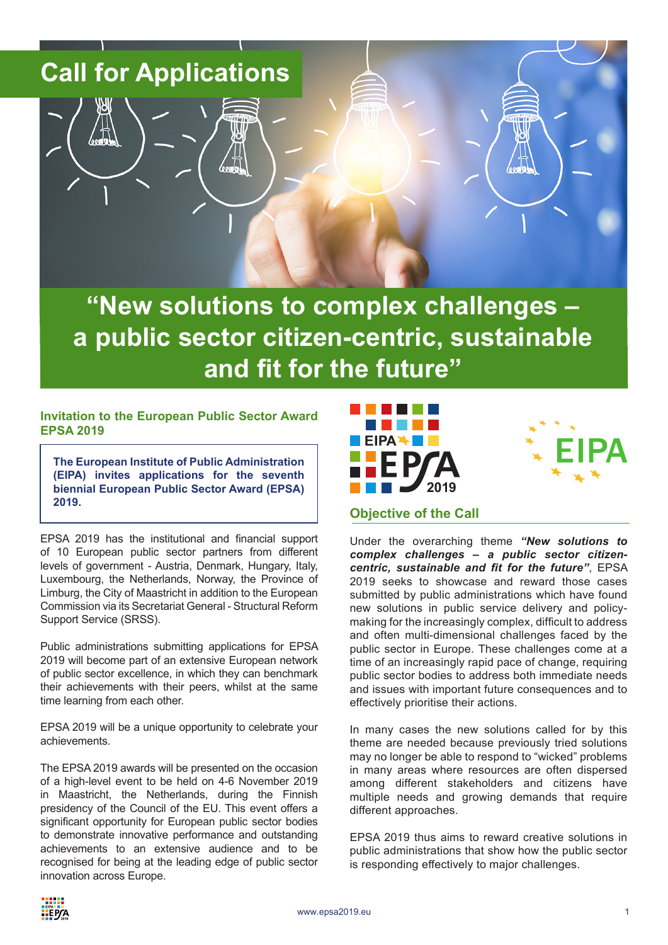# **Call for Applications**

**"New solutions to complex challenges – a public sector citizen-centric, sustainable and fit for the future"**

## **Invitation to the European Public Sector Award EPSA 2019**

**The European Institute of Public Administration (EIPA) invites applications for the seventh biennial European Public Sector Award (EPSA) 2019.** 

EPSA 2019 has the institutional and financial support of 10 European public sector partners from different levels of government - Austria, Denmark, Hungary, Italy, Luxembourg, the Netherlands, Norway, the Province of Limburg, the City of Maastricht in addition to the European Commission via its Secretariat General - Structural Reform Support Service (SRSS).

Public administrations submitting applications for EPSA 2019 will become part of an extensive European network of public sector excellence, in which they can benchmark their achievements with their peers, whilst at the same time learning from each other.

EPSA 2019 will be a unique opportunity to celebrate your achievements.

The EPSA 2019 awards will be presented on the occasion of a high-level event to be held on 4-6 November 2019 in Maastricht, the Netherlands, during the Finnish presidency of the Council of the EU. This event offers a significant opportunity for European public sector bodies to demonstrate innovative performance and outstanding achievements to an extensive audience and to be recognised for being at the leading edge of public sector innovation across Europe.





## **Objective of the Call**

Under the overarching theme *"New solutions to complex challenges – a public sector citizencentric, sustainable and fit for the future"*, EPSA 2019 seeks to showcase and reward those cases submitted by public administrations which have found new solutions in public service delivery and policymaking for the increasingly complex, difficult to address and often multi-dimensional challenges faced by the public sector in Europe. These challenges come at a time of an increasingly rapid pace of change, requiring public sector bodies to address both immediate needs and issues with important future consequences and to effectively prioritise their actions.

In many cases the new solutions called for by this theme are needed because previously tried solutions may no longer be able to respond to "wicked" problems in many areas where resources are often dispersed among different stakeholders and citizens have multiple needs and growing demands that require different approaches.

EPSA 2019 thus aims to reward creative solutions in public administrations that show how the public sector is responding effectively to major challenges.

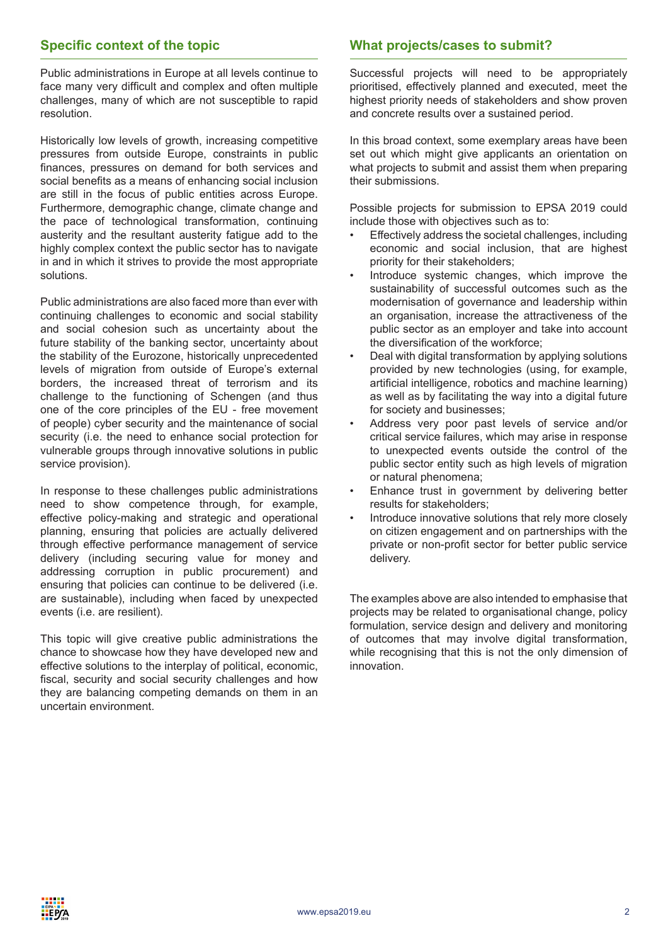# **Specific context of the topic**

Public administrations in Europe at all levels continue to face many very difficult and complex and often multiple challenges, many of which are not susceptible to rapid resolution.

Historically low levels of growth, increasing competitive pressures from outside Europe, constraints in public finances, pressures on demand for both services and social benefits as a means of enhancing social inclusion are still in the focus of public entities across Europe. Furthermore, demographic change, climate change and the pace of technological transformation, continuing austerity and the resultant austerity fatigue add to the highly complex context the public sector has to navigate in and in which it strives to provide the most appropriate solutions.

Public administrations are also faced more than ever with continuing challenges to economic and social stability and social cohesion such as uncertainty about the future stability of the banking sector, uncertainty about the stability of the Eurozone, historically unprecedented levels of migration from outside of Europe's external borders, the increased threat of terrorism and its challenge to the functioning of Schengen (and thus one of the core principles of the EU - free movement of people) cyber security and the maintenance of social security (i.e. the need to enhance social protection for vulnerable groups through innovative solutions in public service provision).

In response to these challenges public administrations need to show competence through, for example, effective policy-making and strategic and operational planning, ensuring that policies are actually delivered through effective performance management of service delivery (including securing value for money and addressing corruption in public procurement) and ensuring that policies can continue to be delivered (i.e. are sustainable), including when faced by unexpected events (i.e. are resilient).

This topic will give creative public administrations the chance to showcase how they have developed new and effective solutions to the interplay of political, economic, fiscal, security and social security challenges and how they are balancing competing demands on them in an uncertain environment.

# **What projects/cases to submit?**

Successful projects will need to be appropriately prioritised, effectively planned and executed, meet the highest priority needs of stakeholders and show proven and concrete results over a sustained period.

In this broad context, some exemplary areas have been set out which might give applicants an orientation on what projects to submit and assist them when preparing their submissions.

Possible projects for submission to EPSA 2019 could include those with objectives such as to:

- Effectively address the societal challenges, including economic and social inclusion, that are highest priority for their stakeholders;
- Introduce systemic changes, which improve the sustainability of successful outcomes such as the modernisation of governance and leadership within an organisation, increase the attractiveness of the public sector as an employer and take into account the diversification of the workforce;
- Deal with digital transformation by applying solutions provided by new technologies (using, for example, artificial intelligence, robotics and machine learning) as well as by facilitating the way into a digital future for society and businesses;
- Address very poor past levels of service and/or critical service failures, which may arise in response to unexpected events outside the control of the public sector entity such as high levels of migration or natural phenomena;
- Enhance trust in government by delivering better results for stakeholders;
- Introduce innovative solutions that rely more closely on citizen engagement and on partnerships with the private or non-profit sector for better public service delivery.

The examples above are also intended to emphasise that projects may be related to organisational change, policy formulation, service design and delivery and monitoring of outcomes that may involve digital transformation, while recognising that this is not the only dimension of innovation.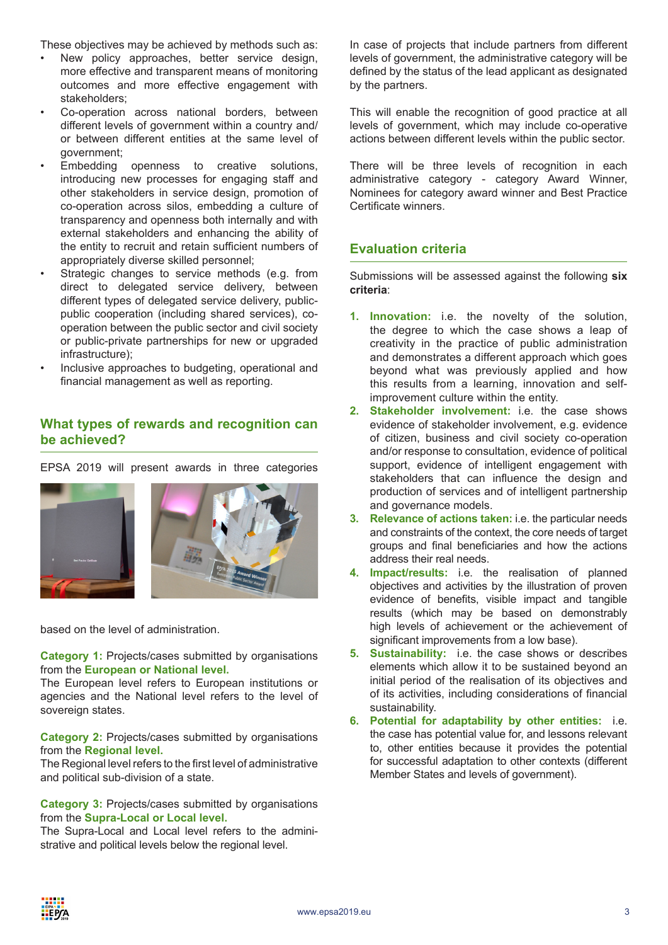These objectives may be achieved by methods such as:

- New policy approaches, better service design, more effective and transparent means of monitoring outcomes and more effective engagement with stakeholders;
- Co-operation across national borders, between different levels of government within a country and/ or between different entities at the same level of government;
- Embedding openness to creative solutions, introducing new processes for engaging staff and other stakeholders in service design, promotion of co-operation across silos, embedding a culture of transparency and openness both internally and with external stakeholders and enhancing the ability of the entity to recruit and retain sufficient numbers of appropriately diverse skilled personnel;
- Strategic changes to service methods (e.g. from direct to delegated service delivery, between different types of delegated service delivery, publicpublic cooperation (including shared services), cooperation between the public sector and civil society or public-private partnerships for new or upgraded infrastructure);
- Inclusive approaches to budgeting, operational and financial management as well as reporting.

# **What types of rewards and recognition can be achieved?**

EPSA 2019 will present awards in three categories



based on the level of administration.

**Category 1:** Projects/cases submitted by organisations from the **European or National level.**

The European level refers to European institutions or agencies and the National level refers to the level of sovereign states.

**Category 2: Projects/cases submitted by organisations** from the **Regional level.**

The Regional level refers to the first level of administrative and political sub-division of a state.

**Category 3:** Projects/cases submitted by organisations from the **Supra-Local or Local level.** 

The Supra-Local and Local level refers to the administrative and political levels below the regional level.

In case of projects that include partners from different levels of government, the administrative category will be defined by the status of the lead applicant as designated by the partners.

This will enable the recognition of good practice at all levels of government, which may include co-operative actions between different levels within the public sector.

There will be three levels of recognition in each administrative category - category Award Winner, Nominees for category award winner and Best Practice Certificate winners.

# **Evaluation criteria**

Submissions will be assessed against the following **six criteria**:

- **1. Innovation:** i.e. the novelty of the solution, the degree to which the case shows a leap of creativity in the practice of public administration and demonstrates a different approach which goes beyond what was previously applied and how this results from a learning, innovation and selfimprovement culture within the entity.
- **2. Stakeholder involvement:** i.e. the case shows evidence of stakeholder involvement, e.g. evidence of citizen, business and civil society co-operation and/or response to consultation, evidence of political support, evidence of intelligent engagement with stakeholders that can influence the design and production of services and of intelligent partnership and governance models.
- **3. Relevance of actions taken:** i.e. the particular needs and constraints of the context, the core needs of target groups and final beneficiaries and how the actions address their real needs.
- **4. Impact/results:** i.e. the realisation of planned objectives and activities by the illustration of proven evidence of benefits, visible impact and tangible results (which may be based on demonstrably high levels of achievement or the achievement of significant improvements from a low base).
- **5. Sustainability:** i.e. the case shows or describes elements which allow it to be sustained beyond an initial period of the realisation of its objectives and of its activities, including considerations of financial sustainability.
- **6. Potential for adaptability by other entities:** i.e. the case has potential value for, and lessons relevant to, other entities because it provides the potential for successful adaptation to other contexts (different Member States and levels of government).